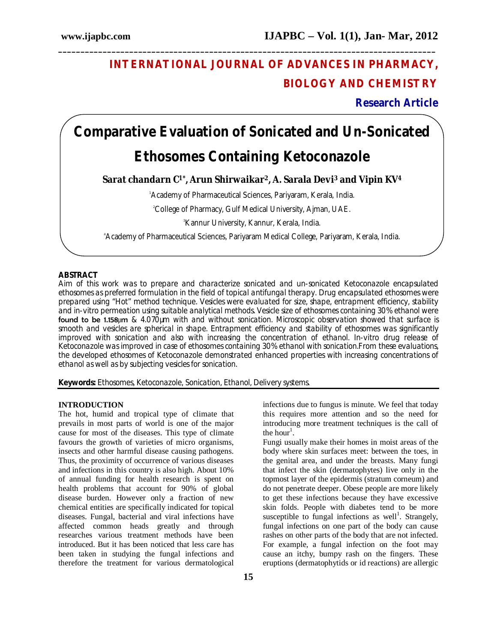# **INTERNATIONAL JOURNAL OF ADVANCES IN PHARMACY, BIOLOGY AND CHEMISTRY**

**Research Article**

# **Comparative Evaluation of Sonicated and Un-Sonicated Ethosomes Containing Ketoconazole**

**\_\_\_\_\_\_\_\_\_\_\_\_\_\_\_\_\_\_\_\_\_\_\_\_\_\_\_\_\_\_\_\_\_\_\_\_\_\_\_\_\_\_\_\_\_\_\_\_\_\_\_\_\_\_\_\_\_\_\_\_\_\_\_\_\_\_\_\_\_\_\_\_\_\_\_\_\_\_\_\_\_\_\_\_\_**

**Sarat chandarn C1\*, Arun Shirwaikar2, A. Sarala Devi<sup>3</sup> and Vipin KV<sup>4</sup>**

<sup>1</sup>Academy of Pharmaceutical Sciences, Pariyaram, Kerala, India.

<sup>2</sup>College of Pharmacy, Gulf Medical University, Ajman, UAE.

<sup>3</sup>Kannur University, Kannur, Kerala, India.

4Academy of Pharmaceutical Sciences, Pariyaram Medical College, Pariyaram, Kerala, India.

# **ABSTRACT**

Aim of this work was to prepare and characterize sonicated and un-sonicated Ketoconazole encapsulated ethosomes as preferred formulation in the field of topical antifungal therapy. Drug encapsulated ethosomes were prepared using "Hot" method technique. Vesicles were evaluated for size, shape, entrapment efficiency, stability and *in-vitro* permeation using suitable analytical methods. Vesicle size of ethosomes containing 30% ethanol were found to be 1.158 $\mu$ m & 4.070 $\mu$ m with and without sonication. Microscopic observation showed that surface is smooth and vesicles are spherical in shape. Entrapment efficiency and stability of ethosomes was significantly improved with sonication and also with increasing the concentration of ethanol. *In-vitro* drug release of Ketoconazole was improved in case of ethosomes containing 30% ethanol with sonication.From these evaluations, the developed ethosomes of Ketoconazole demonstrated enhanced properties with increasing concentrations of ethanol as well as by subjecting vesicles for sonication.

**Keywords:** Ethosomes, Ketoconazole, Sonication, Ethanol, Delivery systems.

#### **INTRODUCTION**

The hot, humid and tropical type of climate that prevails in most parts of world is one of the major cause for most of the diseases. This type of climate favours the growth of varieties of micro organisms, insects and other harmful disease causing pathogens. Thus, the proximity of occurrence of various diseases and infections in this country is also high. About 10% of annual funding for health research is spent on health problems that account for 90% of global disease burden. However only a fraction of new chemical entities are specifically indicated for topical diseases. Fungal, bacterial and viral infections have affected common heads greatly and through researches various treatment methods have been introduced. But it has been noticed that less care has been taken in studying the fungal infections and therefore the treatment for various dermatological

infections due to fungus is minute. We feel that today this requires more attention and so the need for introducing more treatment techniques is the call of the hour<sup>1</sup>.

Fungi usually make their homes in moist areas of the body where skin surfaces meet: between the toes, in the genital area, and under the breasts. Many fungi that infect the skin (dermatophytes) live only in the topmost layer of the epidermis (stratum corneum) and do not penetrate deeper. Obese people are more likely to get these infections because they have excessive skin folds. People with diabetes tend to be more susceptible to fungal infections as well<sup>1</sup>. Strangely, fungal infections on one part of the body can cause rashes on other parts of the body that are not infected. For example, a fungal infection on the foot may cause an itchy, bumpy rash on the fingers. These eruptions (dermatophytids or id reactions) are allergic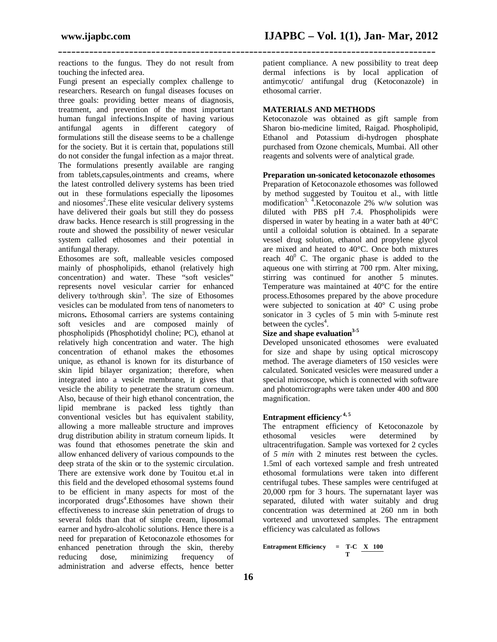reactions to the fungus. They do not result from touching the infected area.

Fungi present an especially complex challenge to researchers. Research on fungal diseases focuses on three goals: providing better means of diagnosis, treatment, and prevention of the most important human fungal infections.Inspite of having various antifungal agents in different category of formulations still the disease seems to be a challenge for the society. But it is certain that, populations still do not consider the fungal infection as a major threat. The formulations presently available are ranging from tablets,capsules,ointments and creams, where the latest controlled delivery systems has been tried out in these formulations especially the liposomes and niosomes<sup>2</sup>. These elite vesicular delivery systems have delivered their goals but still they do possess draw backs. Hence research is still progressing in the route and showed the possibility of newer vesicular system called ethosomes and their potential in antifungal therapy.

Ethosomes are soft, malleable vesicles composed mainly of phospholipids, ethanol (relatively high concentration) and water. These "soft vesicles" represents novel vesicular carrier for enhanced delivery to/through skin<sup>3</sup>. The size of Ethosomes vesicles can be modulated from tens of nanometers to microns**.** Ethosomal carriers are systems containing soft vesicles and are composed mainly of phospholipids (Phosphotidyl choline; PC), ethanol at relatively high concentration and water. The high concentration of ethanol makes the ethosomes unique, as ethanol is known for its disturbance of skin lipid bilayer organization; therefore, when integrated into a vesicle membrane, it gives that vesicle the ability to penetrate the stratum corneum. Also, because of their high ethanol concentration, the lipid membrane is packed less tightly than conventional vesicles but has equivalent stability, allowing a more malleable structure and improves drug distribution ability in stratum corneum lipids. It was found that ethosomes penetrate the skin and allow enhanced delivery of various compounds to the deep strata of the skin or to the systemic circulation. There are extensive work done by Touitou et.al in this field and the developed ethosomal systems found to be efficient in many aspects for most of the incorporated drugs<sup>4</sup>.Ethosomes have shown their effectiveness to increase skin penetration of drugs to several folds than that of simple cream, liposomal earner and hydro-alcoholic solutions. Hence there is a need for preparation of Ketoconazole ethosomes for enhanced penetration through the skin, thereby<br>reducing dose, minimizing frequency of minimizing frequency of administration and adverse effects, hence better

patient compliance. A new possibility to treat deep dermal infections is by local application of antimycotic/ antifungal drug (Ketoconazole) in ethosomal carrier.

# **MATERIALS AND METHODS**

**\_\_\_\_\_\_\_\_\_\_\_\_\_\_\_\_\_\_\_\_\_\_\_\_\_\_\_\_\_\_\_\_\_\_\_\_\_\_\_\_\_\_\_\_\_\_\_\_\_\_\_\_\_\_\_\_\_\_\_\_\_\_\_\_\_\_\_\_\_\_\_\_\_\_\_\_\_\_\_\_\_\_\_\_\_**

Ketoconazole was obtained as gift sample from Sharon bio-medicine limited, Raigad. Phospholipid, Ethanol and Potassium di-hydrogen phosphate purchased from Ozone chemicals, Mumbai. All other reagents and solvents were of analytical grade.

# **Preparation un-sonicated ketoconazole ethosomes**

Preparation of Ketoconazole ethosomes was followed by method suggested by Touitou et al., with little modification<sup>3, 4</sup>. Ketoconazole 2% w/w solution was diluted with PBS pH 7.4. Phospholipids were dispersed in water by heating in a water bath at 40°C until a colloidal solution is obtained. In a separate vessel drug solution, ethanol and propylene glycol are mixed and heated to 40°C. Once both mixtures reach  $40^{\circ}$  C. The organic phase is added to the aqueous one with stirring at 700 rpm. Alter mixing, stirring was continued for another 5 minutes. Temperature was maintained at 40°C for the entire process.Ethosomes prepared by the above procedure were subjected to sonication at 40° C using probe sonicator in 3 cycles of 5 min with 5-minute rest between the cycles<sup>4</sup>.

# **Size and shape evaluation3-5**

Developed unsonicated ethosomes were evaluated for size and shape by using optical microscopy method. The average diameters of 150 vesicles were calculated. Sonicated vesicles were measured under a special microscope, which is connected with software and photomicrographs were taken under 400 and 800 magnification.

# **Entrapment efficiency, 4, 5**

The entrapment efficiency of Ketoconazole by ethosomal vesicles were determined by ultracentrifugation. Sample was vortexed for 2 cycles of *5 min* with 2 minutes rest between the cycles. 1.5ml of each vortexed sample and fresh untreated ethosomal formulations were taken into different centrifugal tubes. These samples were centrifuged at 20,000 rpm for 3 hours. The supernatant layer was separated, diluted with water suitably and drug concentration was determined at 260 nm in both vortexed and unvortexed samples. The entrapment efficiency was calculated as follows

**Entrapment Efficiency = T-C X 100 T**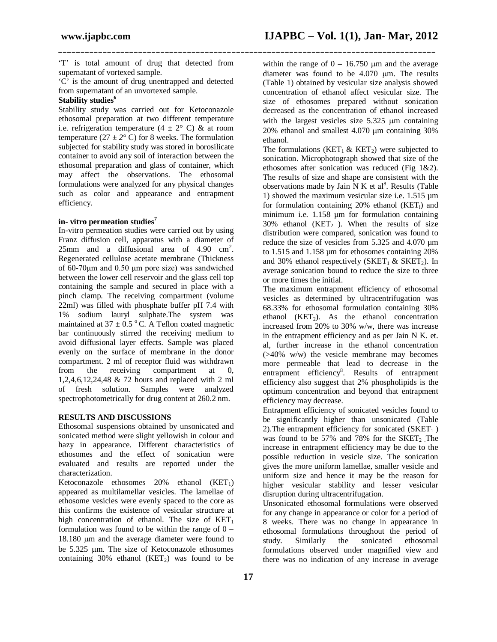'T' is total amount of drug that detected from supernatant of vortexed sample.

**\_\_\_\_\_\_\_\_\_\_\_\_\_\_\_\_\_\_\_\_\_\_\_\_\_\_\_\_\_\_\_\_\_\_\_\_\_\_\_\_\_\_\_\_\_\_\_\_\_\_\_\_\_\_\_\_\_\_\_\_\_\_\_\_\_\_\_\_\_\_\_\_\_\_\_\_\_\_\_\_\_\_\_\_\_**

'C' is the amount of drug unentrapped and detected from supernatant of an unvortexed sample.

# **Stability studies<sup>6</sup>**

Stability study was carried out for Ketoconazole ethosomal preparation at two different temperature i.e. refrigeration temperature  $(4 \pm 2^{\circ} \text{ C})$  & at room temperature ( $27 \pm 2^{\circ}$  C) for 8 weeks. The formulation subjected for stability study was stored in borosilicate container to avoid any soil of interaction between the ethosomal preparation and glass of container, which may affect the observations. The ethosomal formulations were analyzed for any physical changes such as color and appearance and entrapment efficiency.

# **in- vitro permeation studies<sup>7</sup>**

In-vitro permeation studies were carried out by using Franz diffusion cell, apparatus with a diameter of  $25 \text{mm}$  and a diffusional area of  $4.90 \text{cm}^2$ . Regenerated cellulose acetate membrane (Thickness of 60-70µm and 0.50 µm pore size) was sandwiched between the lower cell reservoir and the glass cell top containing the sample and secured in place with a pinch clamp. The receiving compartment (volume 22ml) was filled with phosphate buffer pH 7.4 with 1% sodium lauryl sulphate.The system was maintained at  $37 \pm 0.5$  °C. A Teflon coated magnetic bar continuously stirred the receiving medium to avoid diffusional layer effects. Sample was placed evenly on the surface of membrane in the donor compartment. 2 ml of receptor fluid was withdrawn from the receiving compartment at 0, 1,2,4,6,12,24,48 & 72 hours and replaced with 2 ml of fresh solution. Samples were analyzed spectrophotometrically for drug content at 260.2 nm.

# **RESULTS AND DISCUSSIONS**

Ethosomal suspensions obtained by unsonicated and sonicated method were slight yellowish in colour and hazy in appearance. Different characteristics of ethosomes and the effect of sonication were evaluated and results are reported under the characterization.

Ketoconazole ethosomes  $20\%$  ethanol  $(KET_1)$ appeared as multilamellar vesicles. The lamellae of ethosome vesicles were evenly spaced to the core as this confirms the existence of vesicular structure at high concentration of ethanol. The size of  $KET_1$ formulation was found to be within the range of  $0 -$ 18.180 µm and the average diameter were found to be 5.325 µm. The size of Ketoconazole ethosomes containing  $30\%$  ethanol (KET<sub>2</sub>) was found to be

within the range of  $0 - 16.750 \mu m$  and the average diameter was found to be  $4.070$  um. The results (Table 1) obtained by vesicular size analysis showed concentration of ethanol affect vesicular size. The size of ethosomes prepared without sonication decreased as the concentration of ethanol increased with the largest vesicles size  $5.325 \mu m$  containing  $20\%$  ethanol and smallest 4.070  $\mu$ m containing 30% ethanol.

The formulations (KET<sub>1</sub> & KET<sub>2</sub>) were subjected to sonication. Microphotograph showed that size of the ethosomes after sonication was reduced (Fig 1&2). The results of size and shape are consistent with the observations made by Jain  $N$  K et al<sup>8</sup>. Results (Table 1) showed the maximum vesicular size i.e. 1.515 µm for formulation containing  $20%$  ethanol (KET<sub>1</sub>) and minimum i.e. 1.158 µm for formulation containing 30% ethanol ( $KET<sub>2</sub>$ ). When the results of size distribution were compared, sonication was found to reduce the size of vesicles from 5.325 and 4.070 µm to 1.515 and 1.158 µm for ethosomes containing 20% and 30% ethanol respectively (SKET<sub>1</sub> & SKET<sub>2</sub>). In average sonication bound to reduce the size to three or more times the initial.

The maximum entrapment efficiency of ethosomal vesicles as determined by ultracentrifugation was 68.33% for ethosomal formulation containing 30% ethanol  $(KET<sub>2</sub>)$ . As the ethanol concentration increased from 20% to 30% w/w, there was increase in the entrapment efficiency and as per Jain N K. et. al, further increase in the ethanol concentration (>40% w/w) the vesicle membrane may becomes more permeable that lead to decrease in the entrapment efficiency<sup>8</sup>. Results of entrapment efficiency also suggest that 2% phospholipids is the optimum concentration and beyond that entrapment efficiency may decrease.

Entrapment efficiency of sonicated vesicles found to be significantly higher than unsonicated (Table 2). The entrapment efficiency for sonicated  $(SKET_1)$ was found to be  $57\%$  and  $78\%$  for the SKET<sub>2</sub>. The increase in entrapment efficiency may be due to the possible reduction in vesicle size. The sonication gives the more uniform lamellae, smaller vesicle and uniform size and hence it may be the reason for higher vesicular stability and lesser vesicular disruption during ultracentrifugation.

Unsonicated ethosomal formulations were observed for any change in appearance or color for a period of 8 weeks. There was no change in appearance in ethosomal formulations throughout the period of study. Similarly the sonicated ethosomal formulations observed under magnified view and there was no indication of any increase in average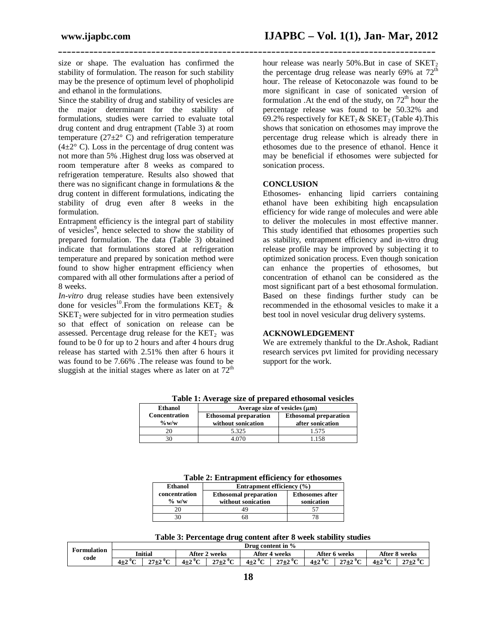size or shape. The evaluation has confirmed the stability of formulation. The reason for such stability may be the presence of optimum level of phopholipid and ethanol in the formulations.

Since the stability of drug and stability of vesicles are the major determinant for the stability of formulations, studies were carried to evaluate total drug content and drug entrapment (Table 3) at room temperature ( $27\pm2^{\circ}$  C) and refrigeration temperature  $(4\pm2^{\circ}$  C). Loss in the percentage of drug content was not more than 5% .Highest drug loss was observed at room temperature after 8 weeks as compared to refrigeration temperature. Results also showed that there was no significant change in formulations & the drug content in different formulations, indicating the stability of drug even after 8 weeks in the formulation.

Entrapment efficiency is the integral part of stability of vesicles<sup>9</sup>, hence selected to show the stability of prepared formulation. The data (Table 3) obtained indicate that formulations stored at refrigeration temperature and prepared by sonication method were found to show higher entrapment efficiency when compared with all other formulations after a period of 8 weeks.

*In-vitro* drug release studies have been extensively done for vesicles<sup>10</sup>. From the formulations  $KET_2 \&$  $SNET<sub>2</sub>$  were subjected for in vitro permeation studies so that effect of sonication on release can be assessed. Percentage drug release for the  $KET_2$  was found to be 0 for up to 2 hours and after 4 hours drug release has started with 2.51% then after 6 hours it was found to be 7.66% .The release was found to be sluggish at the initial stages where as later on at  $72<sup>th</sup>$ 

hour release was nearly  $50\%$ . But in case of SKET<sub>2</sub> the percentage drug release was nearly  $69\%$  at  $72<sup>th</sup>$ hour. The release of Ketoconazole was found to be more significant in case of sonicated version of formulation . At the end of the study, on  $72<sup>th</sup>$  hour the percentage release was found to be 50.32% and 69.2% respectively for  $KET_2 \& SKET_2$  (Table 4). This shows that sonication on ethosomes may improve the percentage drug release which is already there in ethosomes due to the presence of ethanol. Hence it may be beneficial if ethosomes were subjected for sonication process.

# **CONCLUSION**

**\_\_\_\_\_\_\_\_\_\_\_\_\_\_\_\_\_\_\_\_\_\_\_\_\_\_\_\_\_\_\_\_\_\_\_\_\_\_\_\_\_\_\_\_\_\_\_\_\_\_\_\_\_\_\_\_\_\_\_\_\_\_\_\_\_\_\_\_\_\_\_\_\_\_\_\_\_\_\_\_\_\_\_\_\_**

Ethosomes- enhancing lipid carriers containing ethanol have been exhibiting high encapsulation efficiency for wide range of molecules and were able to deliver the molecules in most effective manner. This study identified that ethosomes properties such as stability, entrapment efficiency and in-vitro drug release profile may be improved by subjecting it to optimized sonication process. Even though sonication can enhance the properties of ethosomes, but concentration of ethanol can be considered as the most significant part of a best ethosomal formulation. Based on these findings further study can be recommended in the ethosomal vesicles to make it a best tool in novel vesicular drug delivery systems.

# **ACKNOWLEDGEMENT**

We are extremely thankful to the Dr.Ashok, Radiant research services pvt limited for providing necessary support for the work.

| Tubic 1. Average sine of prepared emosomial vesicies |                                                    |                                                  |  |  |  |  |  |
|------------------------------------------------------|----------------------------------------------------|--------------------------------------------------|--|--|--|--|--|
| Ethanol                                              | Average size of vesicles $(\mu m)$                 |                                                  |  |  |  |  |  |
| <b>Concentration</b><br>$\%$ w/w                     | <b>Ethosomal preparation</b><br>without sonication | <b>Ethosomal preparation</b><br>after sonication |  |  |  |  |  |
|                                                      | 5.325                                              | 1.575                                            |  |  |  |  |  |
|                                                      | 4 070                                              | 1.158                                            |  |  |  |  |  |

**Table 1: Average size of prepared ethosomal vesicles**

|       | Table 2: Entrapment efficiency for ethosomes |
|-------|----------------------------------------------|
| hanol | Entrapment efficiency $(\% )$                |

| Ethanol       | Entrapment efficiency (%)    |                        |  |  |  |  |
|---------------|------------------------------|------------------------|--|--|--|--|
| concentration | <b>Ethosomal preparation</b> | <b>Ethosomes after</b> |  |  |  |  |
| $\%$ w/w      | without sonication           | sonication             |  |  |  |  |
|               |                              |                        |  |  |  |  |
|               | ገሽ                           |                        |  |  |  |  |

**Table 3: Percentage drug content after 8 week stability studies**

|             | Drug content in % |            |               |                     |               |                     |               |                     |               |                     |
|-------------|-------------------|------------|---------------|---------------------|---------------|---------------------|---------------|---------------------|---------------|---------------------|
| Formulation | Initial           |            | After 2 weeks |                     | After 4 weeks |                     | After 6 weeks |                     | After 8 weeks |                     |
| code        | $4\pm2~^{\circ}C$ | $27 + 20C$ | $4\pm2~^0C$   | $27 + 27$<br>41 L 4 | $4\pm2~^0C$   | $27\pm2~^{\circ}$ C | $4\pm2$ °C    | $27\pm2~^{\circ}$ C | $4\pm2~^0C$   | $27\pm2~^{\circ}$ C |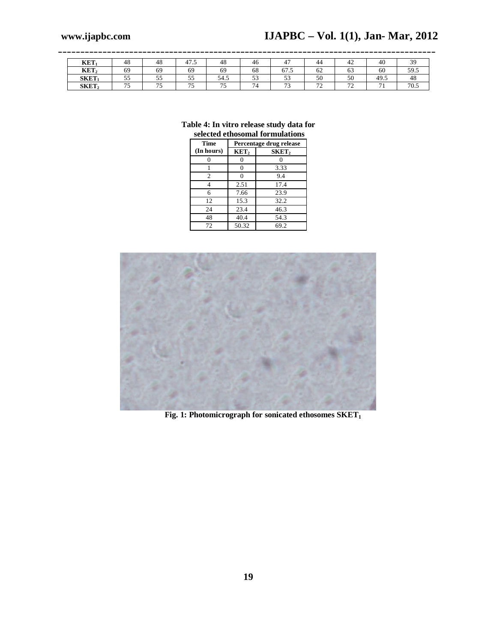| <b>KET</b>       | 48          | 48         | 41.5        | 48          | 40                  | 4                                          | 44                             | $4'_{\rm 2}$  | 40    | $\sim$<br><u>.</u>                |
|------------------|-------------|------------|-------------|-------------|---------------------|--------------------------------------------|--------------------------------|---------------|-------|-----------------------------------|
| $\mathbf{KET}_2$ | 69          | 69         | 69          | 69          | $\sim$ $\sim$<br>68 | $\overline{\phantom{a}}$<br><u> U I .J</u> | $\overline{\phantom{a}}$<br>o∠ | 05            | 60    | 59.5                              |
| <b>SKET</b>      | $ -$<br>ر ر | - -<br>ັ້  | $ -$<br>ر ر | - -<br>54.S | $\sim$ $\sim$<br>ັ  | $\sim$ $\sim$<br>ັ                         | 50                             | 50            | -49.5 | -48                               |
| $S\text{KET}_2$  | .           | $ -$<br>ر_ | $ -$        | $- -$<br>◡  | -                   | $\sim$<br>ر .                              | $\sim$<br><b>_</b>             | $\sim$<br>. . | - -   | $\overline{\mathbf{u}}$<br>, v. J |

**\_\_\_\_\_\_\_\_\_\_\_\_\_\_\_\_\_\_\_\_\_\_\_\_\_\_\_\_\_\_\_\_\_\_\_\_\_\_\_\_\_\_\_\_\_\_\_\_\_\_\_\_\_\_\_\_\_\_\_\_\_\_\_\_\_\_\_\_\_\_\_\_\_\_\_\_\_\_\_\_\_\_\_\_\_**

# **Table 4: In vitro release study data for selected ethosomal formulations**

| Time           | Percentage drug release |                   |  |  |  |  |  |
|----------------|-------------------------|-------------------|--|--|--|--|--|
| (In hours)     | KET <sub>2</sub>        | SKET <sub>2</sub> |  |  |  |  |  |
|                |                         |                   |  |  |  |  |  |
|                |                         | 3.33              |  |  |  |  |  |
| $\overline{c}$ |                         | 9.4               |  |  |  |  |  |
|                | 2.51                    | 17.4              |  |  |  |  |  |
| 6              | 7.66                    | 23.9              |  |  |  |  |  |
| 12             | 15.3                    | 32.2              |  |  |  |  |  |
| 24             | 23.4                    | 46.3              |  |  |  |  |  |
| 48             | 40.4                    | 54.3              |  |  |  |  |  |
| 72             | 50.32                   | 69.2              |  |  |  |  |  |



**Fig. 1: Photomicrograph for sonicated ethosomes SKET1**